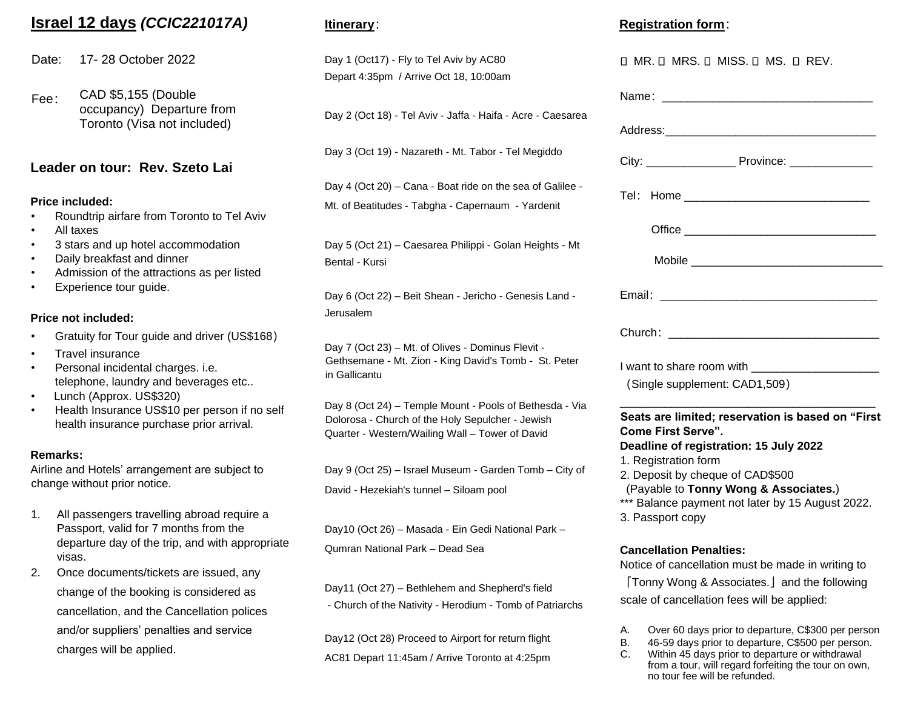# **Israel 12 days** *(CCIC221017A)*

Date: 17- 28 October 2022

Fee: CAD \$5,155 (Double occupancy) Departure from Toronto (Visa not included)

#### **Leader on tour: Rev. Szeto Lai**

#### **Price included:**

- Roundtrip airfare from Toronto to Tel Aviv
- All taxes
- 3 stars and up hotel accommodation
- Daily breakfast and dinner
- Admission of the attractions as per listed
- Experience tour guide.

#### **Price not included:**

- Gratuity for Tour guide and driver (US\$168)
- Travel insurance
- Personal incidental charges. i.e. telephone, laundry and beverages etc..
- Lunch (Approx. US\$320)
- Health Insurance US\$10 per person if no self health insurance purchase prior arrival.

#### **Remarks:**

Airline and Hotels' arrangement are subject to change without prior notice.

- 1. All passengers travelling abroad require a Passport, valid for 7 months from the departure day of the trip, and with appropriate visas.
- 2. Once documents/tickets are issued, any change of the booking is considered as cancellation, and the Cancellation polices and/or suppliers' penalties and service charges will be applied.

#### **Itinerary**:

Day 1 (Oct17) - Fly to Tel Aviv by AC80 Depart 4:35pm / Arrive Oct 18, 10:00am

Day 2 (Oct 18) - Tel Aviv - Jaffa - Haifa - Acre - Caesarea

Day 3 (Oct 19) - Nazareth - Mt. Tabor - Tel Megiddo

Day 4 (Oct 20) – Cana - Boat ride on the sea of Galilee - Mt. of Beatitudes - Tabgha - Capernaum - Yardenit

Day 5 (Oct 21) – Caesarea Philippi - Golan Heights - Mt Bental - Kursi

Day 6 (Oct 22) – Beit Shean - Jericho - Genesis Land - Jerusalem

Day 7 (Oct 23) – Mt. of Olives - Dominus Flevit - Gethsemane - Mt. Zion - King David's Tomb - St. Peter in Gallicantu

Day 8 (Oct 24) – Temple Mount - Pools of Bethesda - Via Dolorosa - Church of the Holy Sepulcher - Jewish Quarter - Western/Wailing Wall – Tower of David

Day 9 (Oct 25) – Israel Museum - Garden Tomb – City of David - Hezekiah's tunnel – Siloam pool

Day10 (Oct 26) – Masada - Ein Gedi National Park – Qumran National Park – Dead Sea

Day11 (Oct 27) – Bethlehem and Shepherd's field - Church of the Nativity - Herodium - Tomb of Patriarchs

Day12 (Oct 28) Proceed to Airport for return flight AC81 Depart 11:45am / Arrive Toronto at 4:25pm

#### **Registration form**:

| O MR. O MRS. O MISS. O MS. O REV.                                                                                        |
|--------------------------------------------------------------------------------------------------------------------------|
|                                                                                                                          |
|                                                                                                                          |
|                                                                                                                          |
| Tel: Home _________________________________                                                                              |
|                                                                                                                          |
|                                                                                                                          |
|                                                                                                                          |
|                                                                                                                          |
| I want to share room with ______                                                                                         |
| (Single supplement: CAD1,509)                                                                                            |
| Seats are limited; reservation is based on "First<br><b>Come First Serve".</b><br>Deadline of registration: 15 July 2022 |
| 1. Registration form                                                                                                     |
| 2. Deposit by cheque of CAD\$500                                                                                         |
| (Payable to Tonny Wong & Associates.)                                                                                    |
| *** Balance payment not later by 15 August 2022.<br>3. Passport copy                                                     |
| <b>Cancellation Penalties:</b>                                                                                           |
| Notice of cancellation must be made in writing to                                                                        |
| [Tonny Wong & Associates.] and the following                                                                             |
| scale of cancellation fees will be applied:                                                                              |

- A. Over 60 days prior to departure, C\$300 per person
- B. 46-59 days prior to departure, C\$500 per person.
- C. Within 45 days prior to departure or withdrawal from a tour, will regard forfeiting the tour on own, no tour fee will be refunded.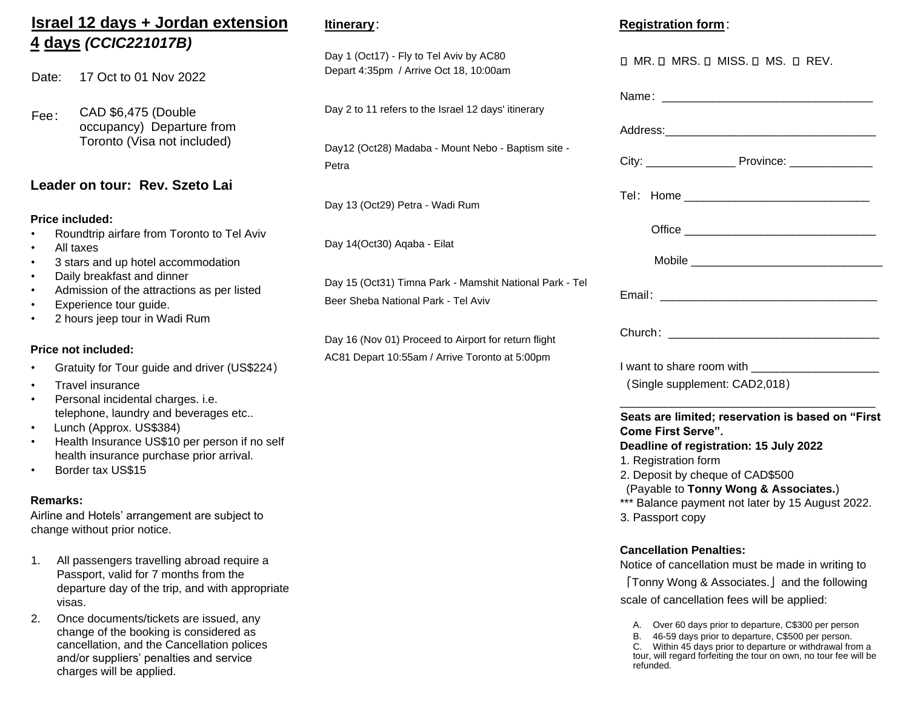# **Israel 12 days + Jordan extension 4 days** *(CCIC221017B)*

Date: 17 Oct to 01 Nov 2022

Fee: CAD \$6,475 (Double occupancy) Departure from Toronto (Visa not included)

### **Leader on tour: Rev. Szeto Lai**

#### **Price included:**

- Roundtrip airfare from Toronto to Tel Aviv
- All taxes
- 3 stars and up hotel accommodation
- Daily breakfast and dinner
- Admission of the attractions as per listed
- Experience tour guide.
- 2 hours jeep tour in Wadi Rum

#### **Price not included:**

- Gratuity for Tour guide and driver (US\$224)
- Travel insurance
- Personal incidental charges. i.e. telephone, laundry and beverages etc..
- Lunch (Approx. US\$384)
- Health Insurance US\$10 per person if no self health insurance purchase prior arrival.
- Border tax US\$15

#### **Remarks:**

Airline and Hotels' arrangement are subject to change without prior notice.

- 1. All passengers travelling abroad require a Passport, valid for 7 months from the departure day of the trip, and with appropriate visas.
- 2. Once documents/tickets are issued, any change of the booking is considered as cancellation, and the Cancellation polices and/or suppliers' penalties and service charges will be applied.

### **Itinerary**:

Day 1 (Oct17) - Fly to Tel Aviv by AC80 Depart 4:35pm / Arrive Oct 18, 10:00am

Day 2 to 11 refers to the Israel 12 days' itinerary

Day12 (Oct28) Madaba - Mount Nebo - Baptism site - Petra

Day 13 (Oct29) Petra - Wadi Rum

Day 14(Oct30) Aqaba - Eilat

Day 15 (Oct31) Timna Park - Mamshit National Park - Tel Beer Sheba National Park - Tel Aviv

Day 16 (Nov 01) Proceed to Airport for return flight AC81 Depart 10:55am / Arrive Toronto at 5:00pm

### **Registration form**:

| O MR. O MRS. O MISS. O MS. O REV.                                                                                                                                                                                                                                                                     |
|-------------------------------------------------------------------------------------------------------------------------------------------------------------------------------------------------------------------------------------------------------------------------------------------------------|
| Name: _________________________                                                                                                                                                                                                                                                                       |
|                                                                                                                                                                                                                                                                                                       |
|                                                                                                                                                                                                                                                                                                       |
|                                                                                                                                                                                                                                                                                                       |
|                                                                                                                                                                                                                                                                                                       |
|                                                                                                                                                                                                                                                                                                       |
| Email: <u>__________________________</u>                                                                                                                                                                                                                                                              |
|                                                                                                                                                                                                                                                                                                       |
| I want to share room with ________________________<br>(Single supplement: CAD2,018)                                                                                                                                                                                                                   |
| Seats are limited; reservation is based on "First<br><b>Come First Serve".</b><br>Deadline of registration: 15 July 2022<br>1. Registration form<br>2. Deposit by cheque of CAD\$500<br>(Payable to Tonny Wong & Associates.)<br>*** Balance payment not later by 15 August 2022.<br>3. Passport copy |
| <b>Cancellation Penalties:</b><br>Notice of cancellation must be made in writing to<br>[Tonny Wong & Associates.] and the following<br>scale of cancellation fees will be applied:<br>Over 60 days prior to departure, C\$300 per person                                                              |

- B. 46-59 days prior to departure, C\$500 per person.
- C. Within 45 days prior to departure or withdrawal from a tour, will regard forfeiting the tour on own, no tour fee will be refunded.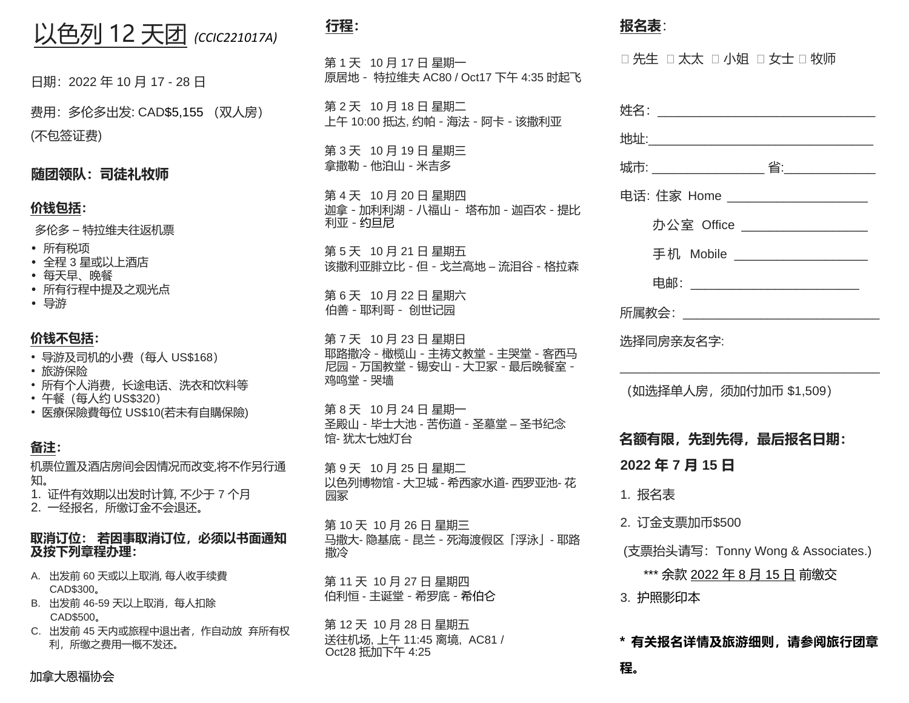# 以色列 12 天团 *(CCIC221017A)*

日期:2022 年 10 月 17 - 28 日

费用:多伦多出发: CAD\$5,155 (双人房) (不包签证费)

**随团领队:司徒礼牧师**

## **价钱包括:**

多伦多 – 特拉维夫往返机票

- 所有税项
- 全程 3 星或以上酒店
- 每天早、晚餐
- 所有行程中提及之观光点
- 导游

#### **价钱不包括:**

- 导游及司机的小费(每人 US\$168)
- 旅游保险
- 所有个人消费, 长途电话、洗衣和饮料等
- 午餐 (每人约 US\$320)
- 医療保險費每位 US\$10(若未有自購保險)

## **备注:**

机票位置及酒店房间会因情况而改变,将不作另行通 知。

1. 证件有效期以出发时计算, 不少于 7 个月 2. 一经报名,所缴订金不会退还。

#### **取消订位: 若因事取消订位,必须以书面通知 及按下列章程办理:**

- A. 出发前 60 天或以上取消, 每人收手续費 CAD\$300。
- B. 出发前 46-59 天以上取消,每人扣除 CAD\$500。
- C. 出发前 45 天内或旅程中退出者,作自动放 弃所有权 利,所缴之费用一概不发还。

# **行程:**

第 1 天 10 月 17 日 星期一 原居地- 特拉维夫 AC80 / Oct17 下午 4:35 时起飞

第 2 天 10 月 18 日 星期二 上午 10:00 抵达, 约帕-海法-阿卡-该撒利亚

第 3 天 10 月 19 日 星期三 拿撒勒-他泊山-米吉多

第 4 天 10 月 20 日 星期四 迦拿-加利利湖-八福山- 塔布加-迦百农-提比 利亚-约旦尼

第 5 天 10 月 21 日 星期五 该撒利亚腓立比-但 - 戈兰高地 – 流泪谷-格拉森

第 6 天 10 月 22 日 星期六 伯善-耶利哥- 创世记园

第 7 天 10 月 23 日 星期日 耶路撒冷-橄榄山-主祷文教堂-主哭堂-客西马 尼园-万国教堂-锡安山-大卫冢-最后晚餐室- 鸡鸣堂-哭墙

第 8 天 10 月 24 日 星期一 圣殿山-毕士大池 - 苦伤道-圣墓堂 – 圣书纪念 馆- 犹太七烛灯台

第 9 天 10 月 25 日 星期二 以色列博物馆 - 大卫城 - 希西家水道- 西罗亚池- 花 园冢

第 10 天 10 月 26 日 星期三 马撒大- 隐基底 - 昆兰-死海渡假区「浮泳」- 耶路 撒冷

第 11 天 10 月 27 日 星期四 伯利恒 - 主诞堂-希罗底-希伯仑

第 12 天 10 月 28 日 星期五 送往机场, 上午 11:45 离境, AC81 / Oct28 抵加下午 4:25

## **报名表**:

**程。**

口 先生 口 太太 口 小姐 口 女士 口 牧师

| 姓名: _____________________                                        |
|------------------------------------------------------------------|
| <u>地址:_________________________</u>                              |
|                                                                  |
| 电话: 住家 Home ________________________                             |
| 办公室 Office ___________________                                   |
| 手机  Mobile ____________________                                  |
| 电邮: __________________________                                   |
| 所属教会: ________________________                                   |
| 选择同房亲友名字:                                                        |
| (如选择单人房, 须加付加币 \$1,509)<br>名额有限,先到先得,最后报名日期:                     |
| 2022年7月15日                                                       |
| 1. 报名表                                                           |
| 2. 订金支票加币\$500                                                   |
| (支票抬头请写: Tonny Wong & Associates.)<br>*** 余款 2022 年 8 月 15 日 前缴交 |
| 3. 护照影印本<br>* 有关报名详情及旅游细则,请参阅旅行团章                                |

加拿大恩福协会